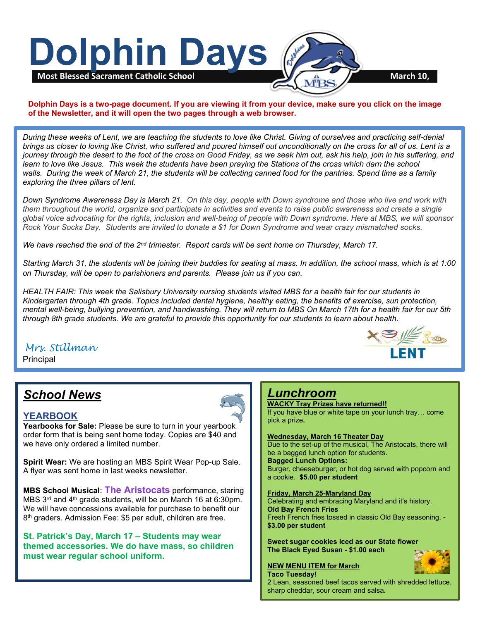

### **Dolphin Days is a two-page document. If you are viewing it from your device, make sure you click on the image of the Newsletter, and it will open the two pages through a web browser.**

*During these weeks of Lent, we are teaching the students to love like Christ. Giving of ourselves and practicing self-denial brings us closer to loving like Christ, who suffered and poured himself out unconditionally on the cross for all of us. Lent is a journey through the desert to the foot of the cross on Good Friday, as we seek him out, ask his help, join in his suffering, and learn to love like Jesus. This week the students have been praying the Stations of the cross which darn the school walls. During the week of March 21, the students will be collecting canned food for the pantries. Spend time as a family exploring the three pillars of lent.*

*Down Syndrome Awareness Day is March 21. On this day, people with Down syndrome and those who live and work with them throughout the world, organize and participate in activities and events to raise public awareness and create a single global voice advocating for the rights, inclusion and well-being of people with Down syndrome. Here at MBS, we will sponsor Rock Your Socks Day. Students are invited to donate a \$1 for Down Syndrome and wear crazy mismatched socks.*

*We have reached the end of the 2nd trimester. Report cards will be sent home on Thursday, March 17.*

*Starting March 31, the students will be joining their buddies for seating at mass. In addition, the school mass, which is at 1:00 on Thursday, will be open to parishioners and parents. Please join us if you can*.

 *Kindergarten through 4th grade. Topics included dental hygiene, healthy eating, the benefits of exercise, sun protection, HEALTH FAIR: This week the Salisbury University nursing students visited MBS for a health fair for our students in mental well-being, bullying prevention, and handwashing. They will return to MBS On March 17th for a health fair for our 5th through 8th grade students. We are grateful to provide this opportunity for our students to learn about health.*

# *Mrs. Stillman*

 Principal

# *School News*

### **YEARBOOK**

**Yearbooks for Sale:** Please be sure to turn in your yearbook order form that is being sent home today. Copies are \$40 and we have only ordered a limited number.

**Spirit Wear:** We are hosting an MBS Spirit Wear Pop-up Sale. A flyer was sent home in last weeks newsletter.

**MBS School Musical: The Aristocats** performance, staring MBS 3rd and 4th grade students, will be on March 16 at 6:30pm. We will have concessions available for purchase to benefit our 8<sup>th</sup> graders. Admission Fee: \$5 per adult, children are free.

**St. Patrick's Day, March 17 – Students may wear themed accessories. We do have mass, so children must wear regular school uniform.**



## *Lunchroom*

**WACKY Tray Prizes have returned!!** If you have blue or white tape on your lunch tray… come pick a prize**.**

#### **Wednesday, March 16 Theater Day**

Due to the set-up of the musical, The Aristocats, there will be a bagged lunch option for students. **Bagged Lunch Options:** Burger, cheeseburger, or hot dog served with popcorn and a cookie. **\$5.00 per student**

**Friday, March 25-Maryland Day** Celebrating and embracing Maryland and it's history. **Old Bay French Fries** Fresh French fries tossed in classic Old Bay seasoning. **- \$3.00 per student**

**Sweet sugar cookies Iced as our State flower The Black Eyed Susan - \$1.00 each**





2 Lean, seasoned beef tacos served with shredded lettuce, sharp cheddar, sour cream and salsa**.**